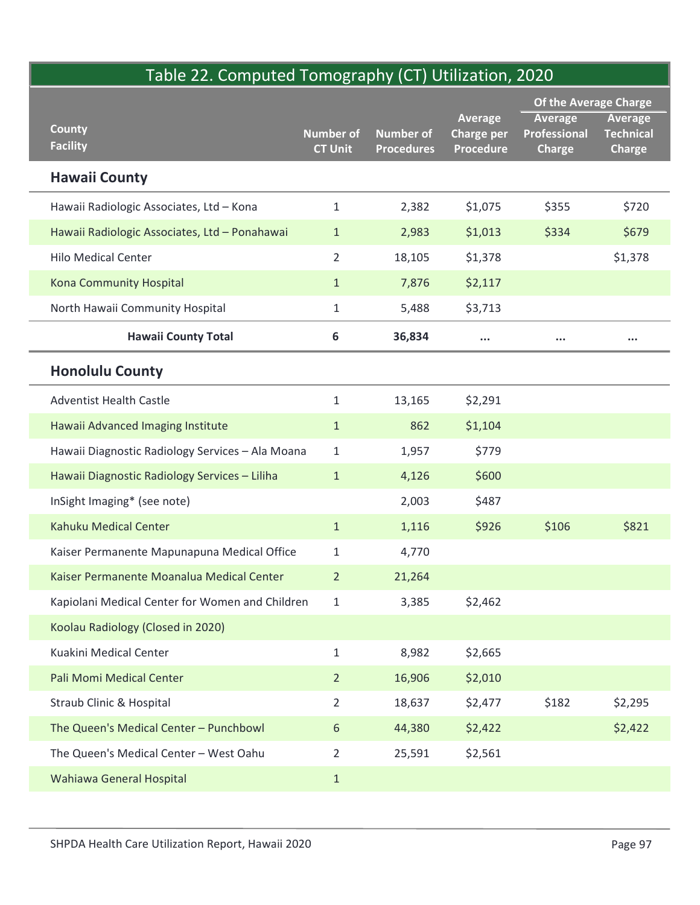## Table 22. Computed Tomography (CT) Utilization, 2020

| Table 22. Computed Tomography (CT) Utilization, 2020 |                                    |                                       |                                       |                                             |                                   |
|------------------------------------------------------|------------------------------------|---------------------------------------|---------------------------------------|---------------------------------------------|-----------------------------------|
|                                                      |                                    |                                       | Average                               | Of the Average Charge<br>Average<br>Average |                                   |
| <b>County</b><br><b>Facility</b>                     | <b>Number of</b><br><b>CT Unit</b> | <b>Number of</b><br><b>Procedures</b> | <b>Charge per</b><br><b>Procedure</b> | Professional<br><b>Charge</b>               | <b>Technical</b><br><b>Charge</b> |
| <b>Hawaii County</b>                                 |                                    |                                       |                                       |                                             |                                   |
| Hawaii Radiologic Associates, Ltd - Kona             | $\mathbf{1}$                       | 2,382                                 | \$1,075                               | \$355                                       | \$720                             |
| Hawaii Radiologic Associates, Ltd - Ponahawai        | $\mathbf{1}$                       | 2,983                                 | \$1,013                               | \$334                                       | \$679                             |
| <b>Hilo Medical Center</b>                           | $\overline{2}$                     | 18,105                                | \$1,378                               |                                             | \$1,378                           |
| Kona Community Hospital                              | $\mathbf{1}$                       | 7,876                                 | \$2,117                               |                                             |                                   |
| North Hawaii Community Hospital                      | $\mathbf{1}$                       | 5,488                                 | \$3,713                               |                                             |                                   |
| <b>Hawaii County Total</b>                           | 6                                  | 36,834                                | $\cdots$                              | $\cdots$                                    | $\bullet$ $\bullet$ $\bullet$     |
| <b>Honolulu County</b>                               |                                    |                                       |                                       |                                             |                                   |
| <b>Adventist Health Castle</b>                       | $\mathbf{1}$                       | 13,165                                | \$2,291                               |                                             |                                   |
| Hawaii Advanced Imaging Institute                    | $\mathbf{1}$                       | 862                                   | \$1,104                               |                                             |                                   |
| Hawaii Diagnostic Radiology Services - Ala Moana     | $\mathbf{1}$                       | 1,957                                 | \$779                                 |                                             |                                   |
| Hawaii Diagnostic Radiology Services - Liliha        | $\mathbf{1}$                       | 4,126                                 | \$600                                 |                                             |                                   |
| InSight Imaging* (see note)                          |                                    | 2,003                                 | \$487                                 |                                             |                                   |
| Kahuku Medical Center                                | $\mathbf{1}$                       | 1,116                                 | \$926                                 | \$106                                       | \$821                             |
| Kaiser Permanente Mapunapuna Medical Office          | $\mathbf{1}$                       | 4,770                                 |                                       |                                             |                                   |
| Kaiser Permanente Moanalua Medical Center            | 2 <sup>2</sup>                     | 21,264                                |                                       |                                             |                                   |
| Kapiolani Medical Center for Women and Children      | $\mathbf{1}$                       | 3,385                                 | \$2,462                               |                                             |                                   |
| Koolau Radiology (Closed in 2020)                    |                                    |                                       |                                       |                                             |                                   |
| Kuakini Medical Center                               | $\mathbf{1}$                       | 8,982                                 | \$2,665                               |                                             |                                   |
| Pali Momi Medical Center                             | 2 <sup>2</sup>                     | 16,906                                | \$2,010                               |                                             |                                   |
| Straub Clinic & Hospital                             | $\overline{2}$                     | 18,637                                | \$2,477                               | \$182                                       | \$2,295                           |
| The Queen's Medical Center - Punchbowl               | 6                                  | 44,380                                | \$2,422                               |                                             | \$2,422                           |
| The Queen's Medical Center - West Oahu               | $\overline{2}$                     | 25,591                                | \$2,561                               |                                             |                                   |
| Wahiawa General Hospital                             | $\mathbf{1}$                       |                                       |                                       |                                             |                                   |